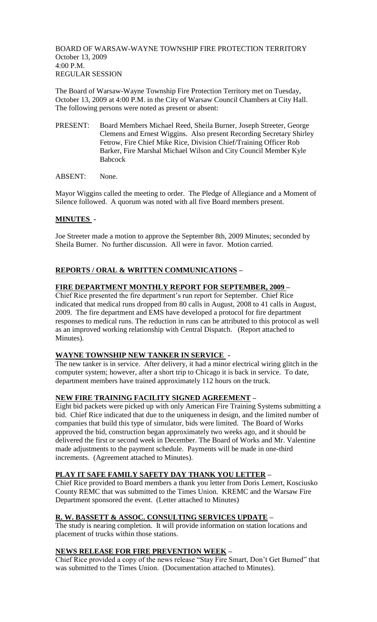BOARD OF WARSAW-WAYNE TOWNSHIP FIRE PROTECTION TERRITORY October 13, 2009 4:00 P.M. REGULAR SESSION

The Board of Warsaw-Wayne Township Fire Protection Territory met on Tuesday, October 13, 2009 at 4:00 P.M. in the City of Warsaw Council Chambers at City Hall. The following persons were noted as present or absent:

- PRESENT: Board Members Michael Reed, Sheila Burner, Joseph Streeter, George Clemens and Ernest Wiggins. Also present Recording Secretary Shirley Fetrow, Fire Chief Mike Rice, Division Chief/Training Officer Rob Barker, Fire Marshal Michael Wilson and City Council Member Kyle Babcock
- ABSENT: None.

Mayor Wiggins called the meeting to order. The Pledge of Allegiance and a Moment of Silence followed. A quorum was noted with all five Board members present.

# **MINUTES -**

Joe Streeter made a motion to approve the September 8th, 2009 Minutes; seconded by Sheila Burner. No further discussion. All were in favor. Motion carried.

# **REPORTS / ORAL & WRITTEN COMMUNICATIONS –**

# **FIRE DEPARTMENT MONTHLY REPORT FOR SEPTEMBER, 2009 –**

Chief Rice presented the fire department's run report for September. Chief Rice indicated that medical runs dropped from 80 calls in August, 2008 to 41 calls in August, 2009. The fire department and EMS have developed a protocol for fire department responses to medical runs. The reduction in runs can be attributed to this protocol as well as an improved working relationship with Central Dispatch. (Report attached to Minutes).

### **WAYNE TOWNSHIP NEW TANKER IN SERVICE -**

The new tanker is in service. After delivery, it had a minor electrical wiring glitch in the computer system; however, after a short trip to Chicago it is back in service. To date, department members have trained approximately 112 hours on the truck.

### **NEW FIRE TRAINING FACILITY SIGNED AGREEMENT –**

Eight bid packets were picked up with only American Fire Training Systems submitting a bid. Chief Rice indicated that due to the uniqueness in design, and the limited number of companies that build this type of simulator, bids were limited. The Board of Works approved the bid, construction began approximately two weeks ago, and it should be delivered the first or second week in December. The Board of Works and Mr. Valentine made adjustments to the payment schedule. Payments will be made in one-third increments. (Agreement attached to Minutes).

### **PLAY IT SAFE FAMILY SAFETY DAY THANK YOU LETTER –**

Chief Rice provided to Board members a thank you letter from Doris Lemert, Kosciusko County REMC that was submitted to the Times Union. KREMC and the Warsaw Fire Department sponsored the event. (Letter attached to Minutes)

### **R. W. BASSETT & ASSOC. CONSULTING SERVICES UPDATE –**

The study is nearing completion. It will provide information on station locations and placement of trucks within those stations.

# **NEWS RELEASE FOR FIRE PREVENTION WEEK –**

Chief Rice provided a copy of the news release "Stay Fire Smart, Don't Get Burned" that was submitted to the Times Union. (Documentation attached to Minutes).